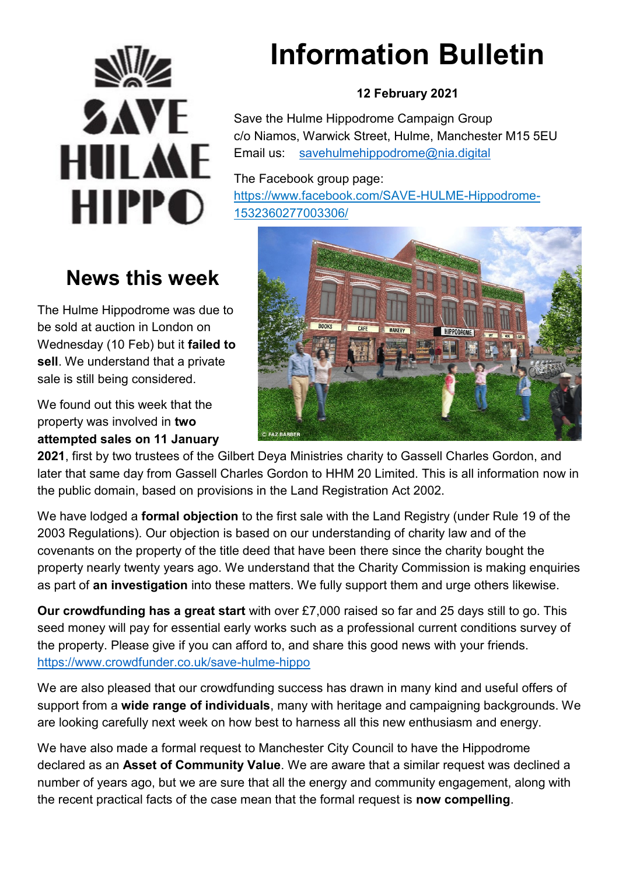

# **News this week**

The Hulme Hippodrome was due to be sold at auction in London on Wednesday (10 Feb) but it **failed to sell**. We understand that a private sale is still being considered.

We found out this week that the property was involved in **two attempted sales on 11 January** 

# **Information Bulletin**

#### **12 February 2021**

Save the Hulme Hippodrome Campaign Group c/o Niamos, Warwick Street, Hulme, Manchester M15 5EU Email us: [savehulmehippodrome@nia.digital](mailto:savehulmehippodrome@nia.digital)

The Facebook group page: [https://www.facebook.com/SAVE-HULME-Hippodrome-](https://www.facebook.com/SAVE-HULME-Hippodrome-1532360277003306/)[1532360277003306/](https://www.facebook.com/SAVE-HULME-Hippodrome-1532360277003306/) 



**2021**, first by two trustees of the Gilbert Deya Ministries charity to Gassell Charles Gordon, and later that same day from Gassell Charles Gordon to HHM 20 Limited. This is all information now in the public domain, based on provisions in the Land Registration Act 2002.

We have lodged a **formal objection** to the first sale with the Land Registry (under Rule 19 of the 2003 Regulations). Our objection is based on our understanding of charity law and of the covenants on the property of the title deed that have been there since the charity bought the property nearly twenty years ago. We understand that the Charity Commission is making enquiries as part of **an investigation** into these matters. We fully support them and urge others likewise.

**Our crowdfunding has a great start** with over £7,000 raised so far and 25 days still to go. This seed money will pay for essential early works such as a professional current conditions survey of the property. Please give if you can afford to, and share this good news with your friends. <https://www.crowdfunder.co.uk/save-hulme-hippo>

We are also pleased that our crowdfunding success has drawn in many kind and useful offers of support from a **wide range of individuals**, many with heritage and campaigning backgrounds. We are looking carefully next week on how best to harness all this new enthusiasm and energy.

We have also made a formal request to Manchester City Council to have the Hippodrome declared as an **Asset of Community Value**. We are aware that a similar request was declined a number of years ago, but we are sure that all the energy and community engagement, along with the recent practical facts of the case mean that the formal request is **now compelling**.